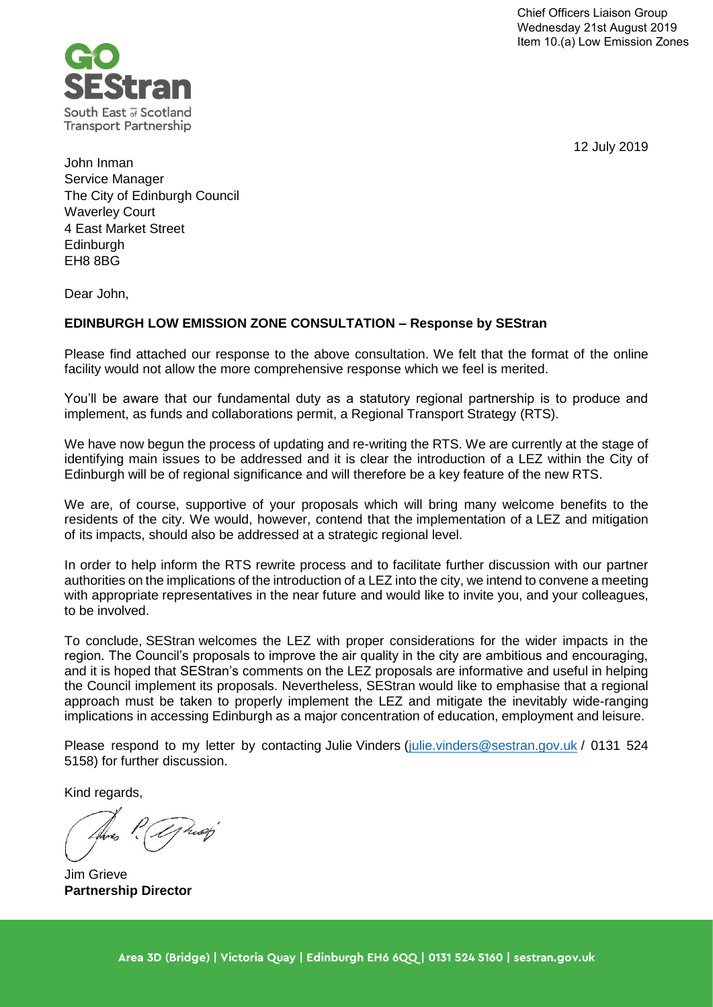

12 July 2019

John Inman Service Manager The City of Edinburgh Council Waverley Court 4 East Market Street **Edinburgh** EH8 8BG

Dear John,

### **EDINBURGH LOW EMISSION ZONE CONSULTATION – Response by SEStran**

Please find attached our response to the above consultation. We felt that the format of the online facility would not allow the more comprehensive response which we feel is merited.

You'll be aware that our fundamental duty as a statutory regional partnership is to produce and implement, as funds and collaborations permit, a Regional Transport Strategy (RTS).

We have now begun the process of updating and re-writing the RTS. We are currently at the stage of identifying main issues to be addressed and it is clear the introduction of a LEZ within the City of Edinburgh will be of regional significance and will therefore be a key feature of the new RTS.

We are, of course, supportive of your proposals which will bring many welcome benefits to the residents of the city. We would, however, contend that the implementation of a LEZ and mitigation of its impacts, should also be addressed at a strategic regional level.

In order to help inform the RTS rewrite process and to facilitate further discussion with our partner authorities on the implications of the introduction of a LEZ into the city, we intend to convene a meeting with appropriate representatives in the near future and would like to invite you, and your colleagues, to be involved.

To conclude, SEStran welcomes the LEZ with proper considerations for the wider impacts in the region. The Council's proposals to improve the air quality in the city are ambitious and encouraging, and it is hoped that SEStran's comments on the LEZ proposals are informative and useful in helping the Council implement its proposals. Nevertheless, SEStran would like to emphasise that a regional approach must be taken to properly implement the LEZ and mitigate the inevitably wide-ranging implications in accessing Edinburgh as a major concentration of education, employment and leisure.

Please respond to my letter by contacting Julie Vinders [\(julie.vinders@sestran.gov.uk](mailto:julie.vinders@sestran.gov.uk) / 0131 524 5158) for further discussion.

Kind regards,

Jim Grieve **Partnership Director**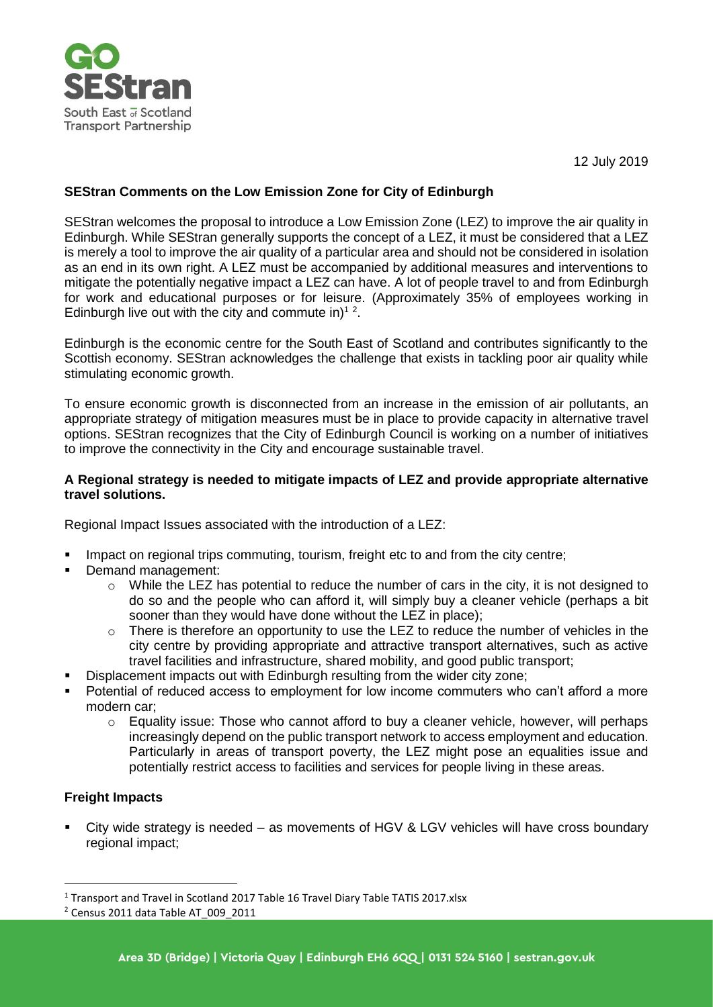

12 July 2019

## **SEStran Comments on the Low Emission Zone for City of Edinburgh**

SEStran welcomes the proposal to introduce a Low Emission Zone (LEZ) to improve the air quality in Edinburgh. While SEStran generally supports the concept of a LEZ, it must be considered that a LEZ is merely a tool to improve the air quality of a particular area and should not be considered in isolation as an end in its own right. A LEZ must be accompanied by additional measures and interventions to mitigate the potentially negative impact a LEZ can have. A lot of people travel to and from Edinburgh for work and educational purposes or for leisure. (Approximately 35% of employees working in Edinburgh live out with the city and commute in)<sup>12</sup>.

Edinburgh is the economic centre for the South East of Scotland and contributes significantly to the Scottish economy. SEStran acknowledges the challenge that exists in tackling poor air quality while stimulating economic growth.

To ensure economic growth is disconnected from an increase in the emission of air pollutants, an appropriate strategy of mitigation measures must be in place to provide capacity in alternative travel options. SEStran recognizes that the City of Edinburgh Council is working on a number of initiatives to improve the connectivity in the City and encourage sustainable travel.

#### **A Regional strategy is needed to mitigate impacts of LEZ and provide appropriate alternative travel solutions.**

Regional Impact Issues associated with the introduction of a LEZ:

- Impact on regional trips commuting, tourism, freight etc to and from the city centre;
- Demand management:
	- $\circ$  While the LEZ has potential to reduce the number of cars in the city, it is not designed to do so and the people who can afford it, will simply buy a cleaner vehicle (perhaps a bit sooner than they would have done without the LEZ in place);
	- $\circ$  There is therefore an opportunity to use the LEZ to reduce the number of vehicles in the city centre by providing appropriate and attractive transport alternatives, such as active travel facilities and infrastructure, shared mobility, and good public transport;
- Displacement impacts out with Edinburgh resulting from the wider city zone;
- Potential of reduced access to employment for low income commuters who can't afford a more modern car;
	- $\circ$  Equality issue: Those who cannot afford to buy a cleaner vehicle, however, will perhaps increasingly depend on the public transport network to access employment and education. Particularly in areas of transport poverty, the LEZ might pose an equalities issue and potentially restrict access to facilities and services for people living in these areas.

## **Freight Impacts**

City wide strategy is needed – as movements of HGV & LGV vehicles will have cross boundary regional impact;

<sup>&</sup>lt;sup>1</sup> Transport and Travel in Scotland 2017 Table 16 Travel Diary Table TATIS 2017.xlsx

<sup>2</sup> Census 2011 data Table AT\_009\_2011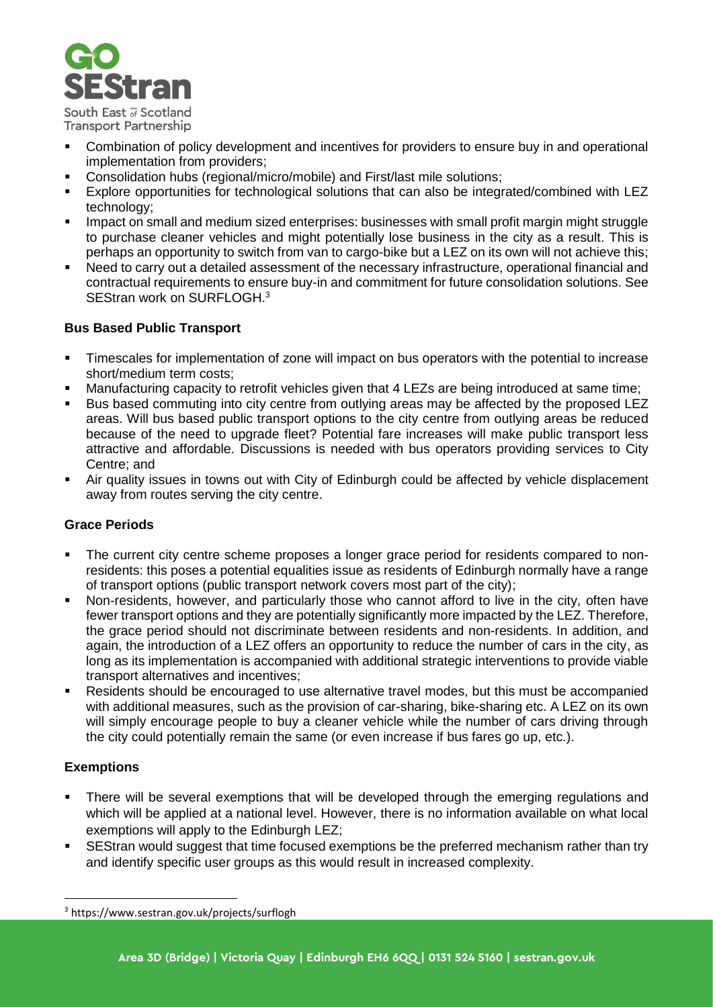

**Transport Partnership** 

- Combination of policy development and incentives for providers to ensure buy in and operational implementation from providers;
- Consolidation hubs (regional/micro/mobile) and First/last mile solutions;
- Explore opportunities for technological solutions that can also be integrated/combined with LEZ technology;
- Impact on small and medium sized enterprises: businesses with small profit margin might struggle to purchase cleaner vehicles and might potentially lose business in the city as a result. This is perhaps an opportunity to switch from van to cargo-bike but a LEZ on its own will not achieve this;
- Need to carry out a detailed assessment of the necessary infrastructure, operational financial and contractual requirements to ensure buy-in and commitment for future consolidation solutions. See SEStran work on SURFLOGH.<sup>3</sup>

# **Bus Based Public Transport**

- **EXTER** Timescales for implementation of zone will impact on bus operators with the potential to increase short/medium term costs;
- Manufacturing capacity to retrofit vehicles given that 4 LEZs are being introduced at same time;
- Bus based commuting into city centre from outlying areas may be affected by the proposed LEZ areas. Will bus based public transport options to the city centre from outlying areas be reduced because of the need to upgrade fleet? Potential fare increases will make public transport less attractive and affordable. Discussions is needed with bus operators providing services to City Centre; and
- Air quality issues in towns out with City of Edinburgh could be affected by vehicle displacement away from routes serving the city centre.

## **Grace Periods**

- The current city centre scheme proposes a longer grace period for residents compared to nonresidents: this poses a potential equalities issue as residents of Edinburgh normally have a range of transport options (public transport network covers most part of the city);
- Non-residents, however, and particularly those who cannot afford to live in the city, often have fewer transport options and they are potentially significantly more impacted by the LEZ. Therefore, the grace period should not discriminate between residents and non-residents. In addition, and again, the introduction of a LEZ offers an opportunity to reduce the number of cars in the city, as long as its implementation is accompanied with additional strategic interventions to provide viable transport alternatives and incentives;
- Residents should be encouraged to use alternative travel modes, but this must be accompanied with additional measures, such as the provision of car-sharing, bike-sharing etc. A LEZ on its own will simply encourage people to buy a cleaner vehicle while the number of cars driving through the city could potentially remain the same (or even increase if bus fares go up, etc.).

## **Exemptions**

 $\overline{a}$ 

- There will be several exemptions that will be developed through the emerging regulations and which will be applied at a national level. However, there is no information available on what local exemptions will apply to the Edinburgh LEZ;
- SEStran would suggest that time focused exemptions be the preferred mechanism rather than try and identify specific user groups as this would result in increased complexity.

<sup>3</sup> https://www.sestran.gov.uk/projects/surflogh